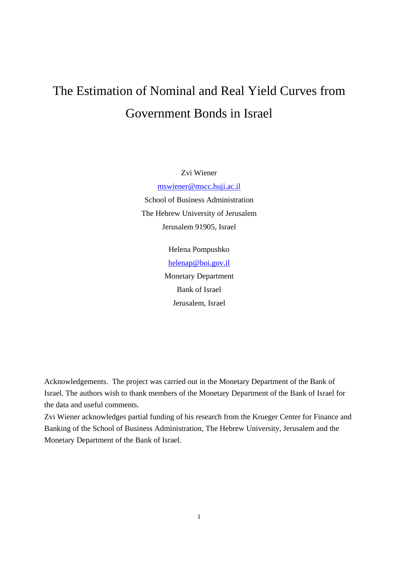# The Estimation of Nominal and Real Yield Curves from Government Bonds in Israel

Zvi Wiener

mswiener@mscc.huji.ac.il School of Business Administration The Hebrew University of Jerusalem Jerusalem 91905, Israel

> Helena Pompushko helenap@boi.gov.il Monetary Department Bank of Israel Jerusalem, Israel

Acknowledgements. The project was carried out in the Monetary Department of the Bank of Israel. The authors wish to thank members of the Monetary Department of the Bank of Israel for the data and useful comments.

Zvi Wiener acknowledges partial funding of his research from the Krueger Center for Finance and Banking of the School of Business Administration, The Hebrew University, Jerusalem and the Monetary Department of the Bank of Israel.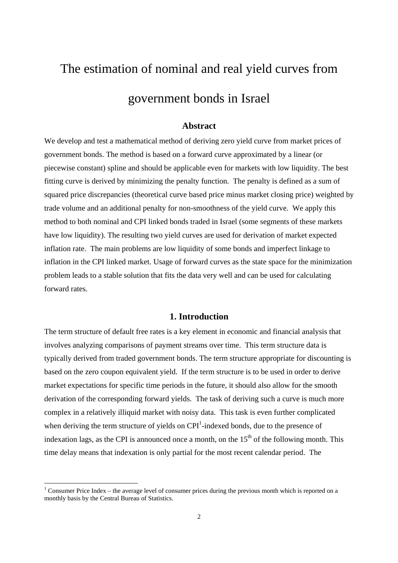## The estimation of nominal and real yield curves from

### government bonds in Israel

#### **Abstract**

We develop and test a mathematical method of deriving zero yield curve from market prices of government bonds. The method is based on a forward curve approximated by a linear (or piecewise constant) spline and should be applicable even for markets with low liquidity. The best fitting curve is derived by minimizing the penalty function. The penalty is defined as a sum of squared price discrepancies (theoretical curve based price minus market closing price) weighted by trade volume and an additional penalty for non-smoothness of the yield curve. We apply this method to both nominal and CPI linked bonds traded in Israel (some segments of these markets have low liquidity). The resulting two yield curves are used for derivation of market expected inflation rate. The main problems are low liquidity of some bonds and imperfect linkage to inflation in the CPI linked market. Usage of forward curves as the state space for the minimization problem leads to a stable solution that fits the data very well and can be used for calculating forward rates.

#### **1. Introduction**

The term structure of default free rates is a key element in economic and financial analysis that involves analyzing comparisons of payment streams over time. This term structure data is typically derived from traded government bonds. The term structure appropriate for discounting is based on the zero coupon equivalent yield. If the term structure is to be used in order to derive market expectations for specific time periods in the future, it should also allow for the smooth derivation of the corresponding forward yields. The task of deriving such a curve is much more complex in a relatively illiquid market with noisy data. This task is even further complicated when deriving the term structure of yields on  $CPI<sup>1</sup>$ -indexed bonds, due to the presence of indexation lags, as the CPI is announced once a month, on the  $15<sup>th</sup>$  of the following month. This time delay means that indexation is only partial for the most recent calendar period. The

 $1$  Consumer Price Index – the average level of consumer prices during the previous month which is reported on a monthly basis by the Central Bureau of Statistics.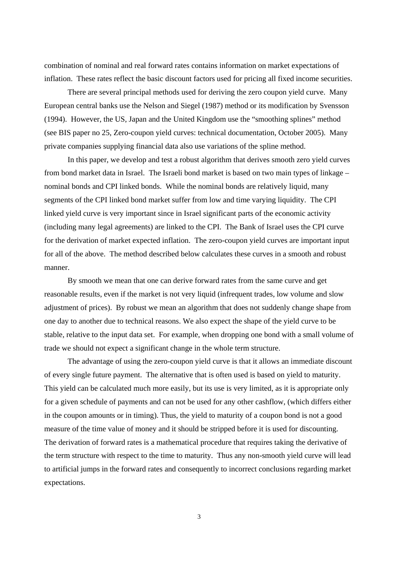combination of nominal and real forward rates contains information on market expectations of inflation. These rates reflect the basic discount factors used for pricing all fixed income securities.

There are several principal methods used for deriving the zero coupon yield curve. Many European central banks use the Nelson and Siegel (1987) method or its modification by Svensson (1994). However, the US, Japan and the United Kingdom use the "smoothing splines" method (see BIS paper no 25, Zero-coupon yield curves: technical documentation, October 2005). Many private companies supplying financial data also use variations of the spline method.

In this paper, we develop and test a robust algorithm that derives smooth zero yield curves from bond market data in Israel. The Israeli bond market is based on two main types of linkage – nominal bonds and CPI linked bonds. While the nominal bonds are relatively liquid, many segments of the CPI linked bond market suffer from low and time varying liquidity. The CPI linked yield curve is very important since in Israel significant parts of the economic activity (including many legal agreements) are linked to the CPI. The Bank of Israel uses the CPI curve for the derivation of market expected inflation. The zero-coupon yield curves are important input for all of the above. The method described below calculates these curves in a smooth and robust manner.

By smooth we mean that one can derive forward rates from the same curve and get reasonable results, even if the market is not very liquid (infrequent trades, low volume and slow adjustment of prices). By robust we mean an algorithm that does not suddenly change shape from one day to another due to technical reasons. We also expect the shape of the yield curve to be stable, relative to the input data set. For example, when dropping one bond with a small volume of trade we should not expect a significant change in the whole term structure.

The advantage of using the zero-coupon yield curve is that it allows an immediate discount of every single future payment. The alternative that is often used is based on yield to maturity. This yield can be calculated much more easily, but its use is very limited, as it is appropriate only for a given schedule of payments and can not be used for any other cashflow, (which differs either in the coupon amounts or in timing). Thus, the yield to maturity of a coupon bond is not a good measure of the time value of money and it should be stripped before it is used for discounting. The derivation of forward rates is a mathematical procedure that requires taking the derivative of the term structure with respect to the time to maturity. Thus any non-smooth yield curve will lead to artificial jumps in the forward rates and consequently to incorrect conclusions regarding market expectations.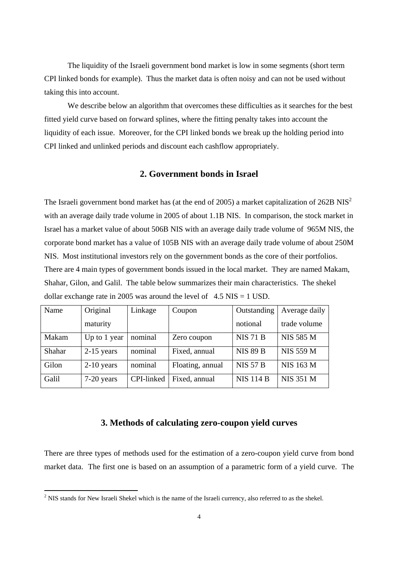The liquidity of the Israeli government bond market is low in some segments (short term CPI linked bonds for example). Thus the market data is often noisy and can not be used without taking this into account.

We describe below an algorithm that overcomes these difficulties as it searches for the best fitted yield curve based on forward splines, where the fitting penalty takes into account the liquidity of each issue. Moreover, for the CPI linked bonds we break up the holding period into CPI linked and unlinked periods and discount each cashflow appropriately.

#### **2. Government bonds in Israel**

The Israeli government bond market has (at the end of 2005) a market capitalization of 262B NIS<sup>2</sup> with an average daily trade volume in 2005 of about 1.1B NIS. In comparison, the stock market in Israel has a market value of about 506B NIS with an average daily trade volume of 965M NIS, the corporate bond market has a value of 105B NIS with an average daily trade volume of about 250M NIS. Most institutional investors rely on the government bonds as the core of their portfolios. There are 4 main types of government bonds issued in the local market. They are named Makam, Shahar, Gilon, and Galil. The table below summarizes their main characteristics. The shekel dollar exchange rate in 2005 was around the level of  $4.5$  NIS = 1 USD.

| Name   | Original     | Linkage    | Coupon           | Outstanding      | Average daily    |
|--------|--------------|------------|------------------|------------------|------------------|
|        | maturity     |            |                  | notional         | trade volume     |
| Makam  | Up to 1 year | nominal    | Zero coupon      | <b>NIS 71 B</b>  | <b>NIS 585 M</b> |
| Shahar | $2-15$ years | nominal    | Fixed, annual    | <b>NIS 89 B</b>  | <b>NIS 559 M</b> |
| Gilon  | $2-10$ years | nominal    | Floating, annual | <b>NIS 57 B</b>  | <b>NIS 163 M</b> |
| Galil  | $7-20$ years | CPI-linked | Fixed, annual    | <b>NIS 114 B</b> | <b>NIS 351 M</b> |

#### **3. Methods of calculating zero-coupon yield curves**

There are three types of methods used for the estimation of a zero-coupon yield curve from bond market data. The first one is based on an assumption of a parametric form of a yield curve. The

<sup>&</sup>lt;sup>2</sup> NIS stands for New Israeli Shekel which is the name of the Israeli currency, also referred to as the shekel.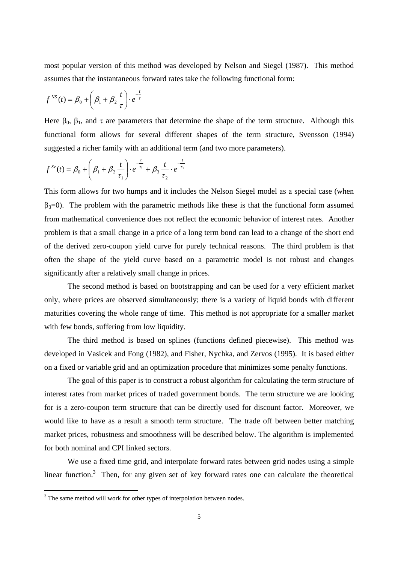most popular version of this method was developed by Nelson and Siegel (1987). This method assumes that the instantaneous forward rates take the following functional form:

$$
f^{NS}(t) = \beta_0 + \left(\beta_1 + \beta_2 \frac{t}{\tau}\right) \cdot e^{-\frac{t}{\tau}}
$$

Here  $\beta_0$ ,  $\beta_1$ , and  $\tau$  are parameters that determine the shape of the term structure. Although this functional form allows for several different shapes of the term structure, Svensson (1994) suggested a richer family with an additional term (and two more parameters).

$$
f^{S_v}(t) = \beta_0 + \left(\beta_1 + \beta_2 \frac{t}{\tau_1}\right) \cdot e^{-\frac{t}{\tau_1}} + \beta_3 \frac{t}{\tau_2} \cdot e^{-\frac{t}{\tau_2}}
$$

This form allows for two humps and it includes the Nelson Siegel model as a special case (when  $\beta_3=0$ ). The problem with the parametric methods like these is that the functional form assumed from mathematical convenience does not reflect the economic behavior of interest rates. Another problem is that a small change in a price of a long term bond can lead to a change of the short end of the derived zero-coupon yield curve for purely technical reasons. The third problem is that often the shape of the yield curve based on a parametric model is not robust and changes significantly after a relatively small change in prices.

 The second method is based on bootstrapping and can be used for a very efficient market only, where prices are observed simultaneously; there is a variety of liquid bonds with different maturities covering the whole range of time. This method is not appropriate for a smaller market with few bonds, suffering from low liquidity.

 The third method is based on splines (functions defined piecewise). This method was developed in Vasicek and Fong (1982), and Fisher, Nychka, and Zervos (1995). It is based either on a fixed or variable grid and an optimization procedure that minimizes some penalty functions.

The goal of this paper is to construct a robust algorithm for calculating the term structure of interest rates from market prices of traded government bonds. The term structure we are looking for is a zero-coupon term structure that can be directly used for discount factor. Moreover, we would like to have as a result a smooth term structure. The trade off between better matching market prices, robustness and smoothness will be described below. The algorithm is implemented for both nominal and CPI linked sectors.

We use a fixed time grid, and interpolate forward rates between grid nodes using a simple linear function.<sup>3</sup> Then, for any given set of key forward rates one can calculate the theoretical

<sup>&</sup>lt;sup>3</sup> The same method will work for other types of interpolation between nodes.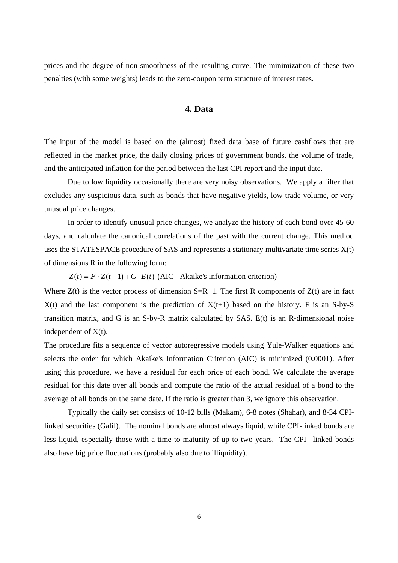prices and the degree of non-smoothness of the resulting curve. The minimization of these two penalties (with some weights) leads to the zero-coupon term structure of interest rates.

#### **4. Data**

The input of the model is based on the (almost) fixed data base of future cashflows that are reflected in the market price, the daily closing prices of government bonds, the volume of trade, and the anticipated inflation for the period between the last CPI report and the input date.

Due to low liquidity occasionally there are very noisy observations. We apply a filter that excludes any suspicious data, such as bonds that have negative yields, low trade volume, or very unusual price changes.

In order to identify unusual price changes, we analyze the history of each bond over 45-60 days, and calculate the canonical correlations of the past with the current change. This method uses the STATESPACE procedure of SAS and represents a stationary multivariate time series  $X(t)$ of dimensions R in the following form:

 $Z(t) = F \cdot Z(t-1) + G \cdot E(t)$  (AIC - Akaike's information criterion)

Where  $Z(t)$  is the vector process of dimension  $S=R+1$ . The first R components of  $Z(t)$  are in fact  $X(t)$  and the last component is the prediction of  $X(t+1)$  based on the history. F is an S-by-S transition matrix, and G is an S-by-R matrix calculated by SAS. E(t) is an R-dimensional noise independent of X(t).

The procedure fits a sequence of vector autoregressive models using Yule-Walker equations and selects the order for which Akaike's Information Criterion (AIC) is minimized (0.0001). After using this procedure, we have a residual for each price of each bond. We calculate the average residual for this date over all bonds and compute the ratio of the actual residual of a bond to the average of all bonds on the same date. If the ratio is greater than 3, we ignore this observation.

 Typically the daily set consists of 10-12 bills (Makam), 6-8 notes (Shahar), and 8-34 CPIlinked securities (Galil). The nominal bonds are almost always liquid, while CPI-linked bonds are less liquid, especially those with a time to maturity of up to two years. The CPI –linked bonds also have big price fluctuations (probably also due to illiquidity).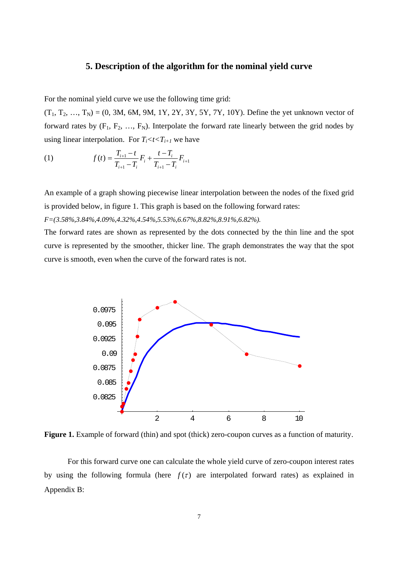#### **5. Description of the algorithm for the nominal yield curve**

For the nominal yield curve we use the following time grid:

 $(T_1, T_2, ..., T_N) = (0, 3M, 6M, 9M, 1Y, 2Y, 3Y, 5Y, 7Y, 10Y)$ . Define the yet unknown vector of forward rates by  $(F_1, F_2, ..., F_N)$ . Interpolate the forward rate linearly between the grid nodes by using linear interpolation. For  $T_i < t < T_{i+1}$  we have

(1) 
$$
f(t) = \frac{T_{i+1} - t}{T_{i+1} - T_i} F_i + \frac{t - T_i}{T_{i+1} - T_i} F_{i+1}
$$

An example of a graph showing piecewise linear interpolation between the nodes of the fixed grid is provided below, in figure 1. This graph is based on the following forward rates:

*F=(3.58%,3.84%,4.09%,4.32%,4.54%,5.53%,6.67%,8.82%,8.91%,6.82%).* 

The forward rates are shown as represented by the dots connected by the thin line and the spot curve is represented by the smoother, thicker line. The graph demonstrates the way that the spot curve is smooth, even when the curve of the forward rates is not.



Figure 1. Example of forward (thin) and spot (thick) zero-coupon curves as a function of maturity.

For this forward curve one can calculate the whole yield curve of zero-coupon interest rates by using the following formula (here  $f(\tau)$  are interpolated forward rates) as explained in Appendix B: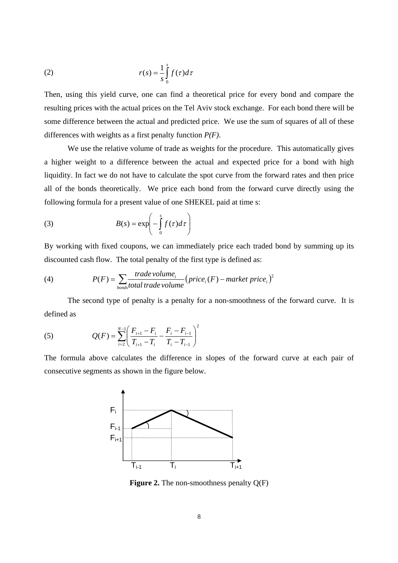(2) 
$$
r(s) = \frac{1}{s} \int_{0}^{s} f(\tau) d\tau
$$

Then, using this yield curve, one can find a theoretical price for every bond and compare the resulting prices with the actual prices on the Tel Aviv stock exchange. For each bond there will be some difference between the actual and predicted price. We use the sum of squares of all of these differences with weights as a first penalty function *P(F)*.

 We use the relative volume of trade as weights for the procedure. This automatically gives a higher weight to a difference between the actual and expected price for a bond with high liquidity. In fact we do not have to calculate the spot curve from the forward rates and then price all of the bonds theoretically. We price each bond from the forward curve directly using the following formula for a present value of one SHEKEL paid at time s:

(3) 
$$
B(s) = \exp\left(-\int_{0}^{s} f(\tau)d\tau\right)
$$

By working with fixed coupons, we can immediately price each traded bond by summing up its discounted cash flow. The total penalty of the first type is defined as:

(4) 
$$
P(F) = \sum_{bonds} \frac{trade \, volume_i}{total \, trade \, volume} (price_i(F) - market \, price_i)^2
$$

 The second type of penalty is a penalty for a non-smoothness of the forward curve. It is defined as

(5) 
$$
Q(F) = \sum_{i=2}^{N-1} \left( \frac{F_{i+1} - F_i}{T_{i+1} - T_i} - \frac{F_i - F_{i-1}}{T_i - T_{i-1}} \right)^2
$$

The formula above calculates the difference in slopes of the forward curve at each pair of consecutive segments as shown in the figure below.



**Figure 2.** The non-smoothness penalty  $Q(F)$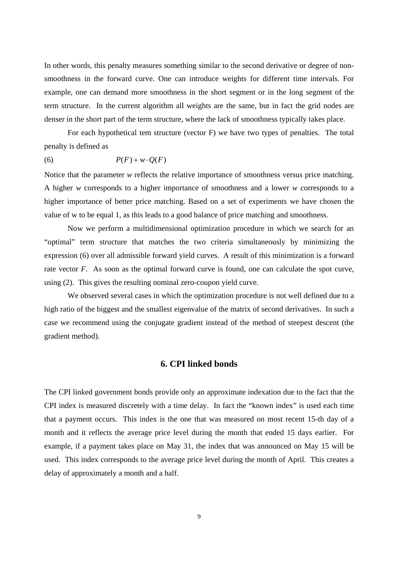In other words, this penalty measures something similar to the second derivative or degree of nonsmoothness in the forward curve. One can introduce weights for different time intervals. For example, one can demand more smoothness in the short segment or in the long segment of the term structure. In the current algorithm all weights are the same, but in fact the grid nodes are denser in the short part of the term structure, where the lack of smoothness typically takes place.

 For each hypothetical tem structure (vector F) we have two types of penalties. The total penalty is defined as

$$
(6) \hspace{3.1em} P(F) + w \cdot Q(F)
$$

Notice that the parameter *w* reflects the relative importance of smoothness versus price matching. A higher *w* corresponds to a higher importance of smoothness and a lower *w* corresponds to a higher importance of better price matching. Based on a set of experiments we have chosen the value of w to be equal 1, as this leads to a good balance of price matching and smoothness.

Now we perform a multidimensional optimization procedure in which we search for an "optimal" term structure that matches the two criteria simultaneously by minimizing the expression (6) over all admissible forward yield curves. A result of this minimization is a forward rate vector *F*. As soon as the optimal forward curve is found, one can calculate the spot curve, using (2). This gives the resulting nominal zero-coupon yield curve.

We observed several cases in which the optimization procedure is not well defined due to a high ratio of the biggest and the smallest eigenvalue of the matrix of second derivatives. In such a case we recommend using the conjugate gradient instead of the method of steepest descent (the gradient method).

#### **6. CPI linked bonds**

The CPI linked government bonds provide only an approximate indexation due to the fact that the CPI index is measured discretely with a time delay. In fact the "known index" is used each time that a payment occurs. This index is the one that was measured on most recent 15-th day of a month and it reflects the average price level during the month that ended 15 days earlier. For example, if a payment takes place on May 31, the index that was announced on May 15 will be used. This index corresponds to the average price level during the month of April. This creates a delay of approximately a month and a half.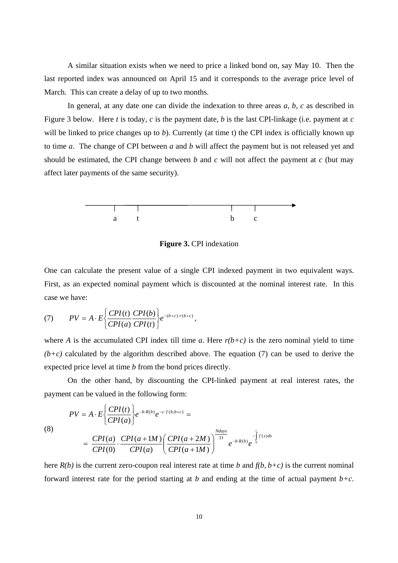A similar situation exists when we need to price a linked bond on, say May 10. Then the last reported index was announced on April 15 and it corresponds to the average price level of March. This can create a delay of up to two months.

 In general, at any date one can divide the indexation to three areas *a, b, c* as described in Figure 3 below. Here *t* is today, *c* is the payment date, *b* is the last CPI-linkage (i.e. payment at *c* will be linked to price changes up to *b*). Currently (at time t) the CPI index is officially known up to time *a*. The change of CPI between *a* and *b* will affect the payment but is not released yet and should be estimated, the CPI change between *b* and *c* will not affect the payment at *c* (but may affect later payments of the same security).



**Figure 3.** CPI indexation

One can calculate the present value of a single CPI indexed payment in two equivalent ways. First, as an expected nominal payment which is discounted at the nominal interest rate. In this case we have:

(7) 
$$
PV = A \cdot E \left\{ \frac{CPI(t)}{CPI(a)} \frac{CPI(b)}{CPI(t)} \right\} e^{-(b+c) \cdot r(b+c)},
$$

where *A* is the accumulated CPI index till time *a*. Here  $r(b+c)$  is the zero nominal yield to time  $(b+c)$  calculated by the algorithm described above. The equation (7) can be used to derive the expected price level at time *b* from the bond prices directly.

On the other hand, by discounting the CPI-linked payment at real interest rates, the payment can be valued in the following form:

$$
PV = A \cdot E \left\{ \frac{CPI(t)}{CPI(a)} \right\} e^{-b \cdot R(b)} e^{-c \cdot f(b,b+c)} =
$$
\n
$$
= \frac{CPI(a)}{CPI(0)} \cdot \frac{CPI(a+1M)}{CPI(a)} \left( \frac{CPI(a+2M)}{CPI(a+1M)} \right)^{\frac{N days}{31}} e^{-b \cdot R(b)} e^{-\int_{b}^{c} f(s)ds}
$$

here  $R(b)$  is the current zero-coupon real interest rate at time *b* and  $f(b, b+c)$  is the current nominal forward interest rate for the period starting at *b* and ending at the time of actual payment *b+c*.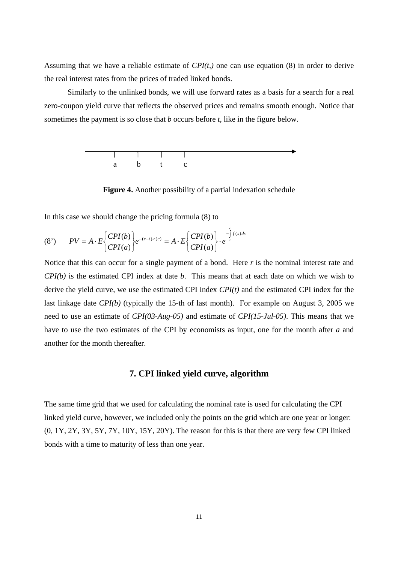Assuming that we have a reliable estimate of *CPI(t,)* one can use equation (8) in order to derive the real interest rates from the prices of traded linked bonds.

 Similarly to the unlinked bonds, we will use forward rates as a basis for a search for a real zero-coupon yield curve that reflects the observed prices and remains smooth enough. Notice that sometimes the payment is so close that *b* occurs before *t*, like in the figure below.

**Figure 4.** Another possibility of a partial indexation schedule

In this case we should change the pricing formula (8) to

(8') 
$$
PV = A \cdot E \left\{ \frac{CPI(b)}{CPI(a)} \right\} e^{-(c-t) \cdot r(c)} = A \cdot E \left\{ \frac{CPI(b)}{CPI(a)} \right\} \cdot e^{-\int_{t}^{c} f(s) ds}
$$

Notice that this can occur for a single payment of a bond. Here *r* is the nominal interest rate and *CPI(b)* is the estimated CPI index at date *b*. This means that at each date on which we wish to derive the yield curve, we use the estimated CPI index *CPI(t)* and the estimated CPI index for the last linkage date *CPI(b)* (typically the 15-th of last month). For example on August 3, 2005 we need to use an estimate of *CPI(03-Aug-05)* and estimate of *CPI(15-Jul-05)*. This means that we have to use the two estimates of the CPI by economists as input, one for the month after *a* and another for the month thereafter.

#### **7. CPI linked yield curve, algorithm**

The same time grid that we used for calculating the nominal rate is used for calculating the CPI linked yield curve, however, we included only the points on the grid which are one year or longer: (0, 1Y, 2Y, 3Y, 5Y, 7Y, 10Y, 15Y, 20Y). The reason for this is that there are very few CPI linked bonds with a time to maturity of less than one year.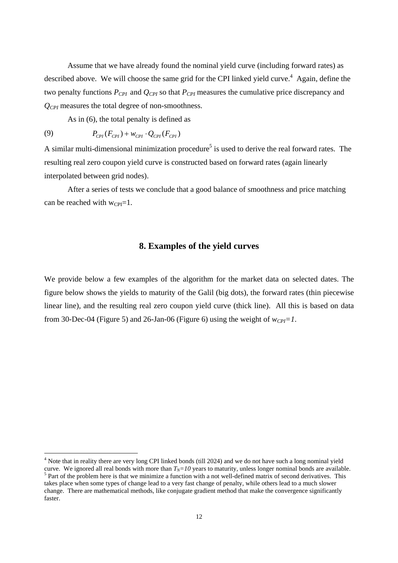Assume that we have already found the nominal yield curve (including forward rates) as described above. We will choose the same grid for the CPI linked yield curve.<sup>4</sup> Again, define the two penalty functions *PCPI* and *QCPI* so that *PCPI* measures the cumulative price discrepancy and *QCPI* measures the total degree of non-smoothness.

As in (6), the total penalty is defined as

(9) 
$$
P_{\text{CPI}}(F_{\text{CPI}}) + w_{\text{CPI}} \cdot Q_{\text{CPI}}(F_{\text{CPI}})
$$

A similar multi-dimensional minimization procedure<sup>5</sup> is used to derive the real forward rates. The resulting real zero coupon yield curve is constructed based on forward rates (again linearly interpolated between grid nodes).

 After a series of tests we conclude that a good balance of smoothness and price matching can be reached with  $w_{\text{CPI}}=1$ .

#### **8. Examples of the yield curves**

We provide below a few examples of the algorithm for the market data on selected dates. The figure below shows the yields to maturity of the Galil (big dots), the forward rates (thin piecewise linear line), and the resulting real zero coupon yield curve (thick line). All this is based on data from 30-Dec-04 (Figure 5) and 26-Jan-06 (Figure 6) using the weight of  $w_{\text{CPI}}=1$ .

<sup>&</sup>lt;sup>4</sup> Note that in reality there are very long CPI linked bonds (till 2024) and we do not have such a long nominal yield curve. We ignored all real bonds with more than  $T_N = 10$  years to maturity, unless longer nominal bonds are available.<br><sup>5</sup> Part of the problem here is that we minimize a function with a not well-defined matrix of second d takes place when some types of change lead to a very fast change of penalty, while others lead to a much slower change. There are mathematical methods, like conjugate gradient method that make the convergence significantly faster.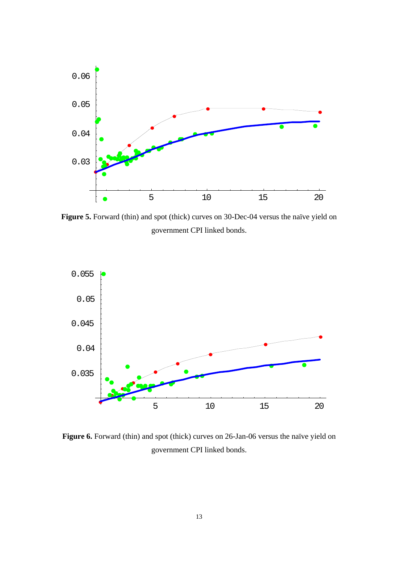

**Figure 5.** Forward (thin) and spot (thick) curves on 30-Dec-04 versus the naïve yield on government CPI linked bonds.



Figure 6. Forward (thin) and spot (thick) curves on 26-Jan-06 versus the naïve yield on government CPI linked bonds.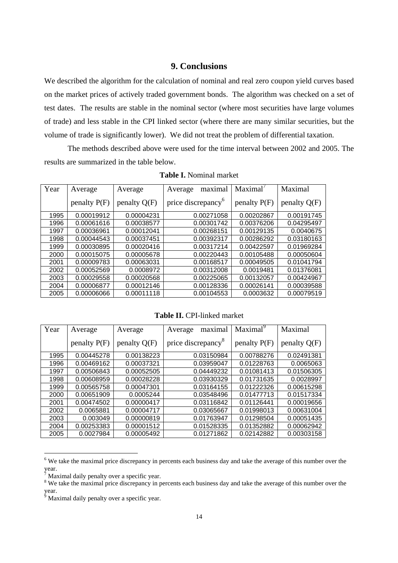#### **9. Conclusions**

We described the algorithm for the calculation of nominal and real zero coupon yield curves based on the market prices of actively traded government bonds. The algorithm was checked on a set of test dates. The results are stable in the nominal sector (where most securities have large volumes of trade) and less stable in the CPI linked sector (where there are many similar securities, but the volume of trade is significantly lower). We did not treat the problem of differential taxation.

 The methods described above were used for the time interval between 2002 and 2005. The results are summarized in the table below.

| Year | Average        | Average        | maximal<br>Average             | Maximal <sup>'</sup> | Maximal        |
|------|----------------|----------------|--------------------------------|----------------------|----------------|
|      | penalty $P(F)$ | penalty $Q(F)$ | price discrepancy <sup>6</sup> | penalty $P(F)$       | penalty $Q(F)$ |
| 1995 | 0.00019912     | 0.00004231     | 0.00271058                     | 0.00202867           | 0.00191745     |
| 1996 | 0.00061616     | 0.00038577     | 0.00301742                     | 0.00376206           | 0.04295497     |
| 1997 | 0.00036961     | 0.00012041     | 0.00268151                     | 0.00129135           | 0.0040675      |
| 1998 | 0.00044543     | 0.00037451     | 0.00392317                     | 0.00286292           | 0.03180163     |
| 1999 | 0.00030895     | 0.00020416     | 0.00317214                     | 0.00422597           | 0.01969284     |
| 2000 | 0.00015075     | 0.00005678     | 0.00220443                     | 0.00105488           | 0.00050604     |
| 2001 | 0.00009783     | 0.00063031     | 0.00168517                     | 0.00049505           | 0.01041794     |
| 2002 | 0.00052569     | 0.0008972      | 0.00312008                     | 0.0019481            | 0.01376081     |
| 2003 | 0.00029558     | 0.00020568     | 0.00225065                     | 0.00132057           | 0.00424967     |
| 2004 | 0.00006877     | 0.00012146     | 0.00128336                     | 0.00026141           | 0.00039588     |
| 2005 | 0.00006066     | 0.00011118     | 0.00104553                     | 0.0003632            | 0.00079519     |

| Table I. Nominal market |  |
|-------------------------|--|
|-------------------------|--|

**Table II.** CPI-linked market

| Year | Average        | Average        | maximal<br>Average             | Maximal <sup>9</sup> | Maximal        |
|------|----------------|----------------|--------------------------------|----------------------|----------------|
|      | penalty $P(F)$ | penalty $Q(F)$ | price discrepancy <sup>8</sup> | penalty $P(F)$       | penalty $Q(F)$ |
| 1995 | 0.00445278     | 0.00138223     | 0.03150984                     | 0.00788276           | 0.02491381     |
| 1996 | 0.00469162     | 0.00037321     | 0.03959047                     | 0.01228763           | 0.0065063      |
| 1997 | 0.00506843     | 0.00052505     | 0.04449232                     | 0.01081413           | 0.01506305     |
| 1998 | 0.00608959     | 0.00028228     | 0.03930329                     | 0.01731635           | 0.0028997      |
| 1999 | 0.00565758     | 0.00047301     | 0.03164155                     | 0.01222326           | 0.00615298     |
| 2000 | 0.00651909     | 0.0005244      | 0.03548496                     | 0.01477713           | 0.01517334     |
| 2001 | 0.00474502     | 0.00000417     | 0.03116842                     | 0.01126441           | 0.00019656     |
| 2002 | 0.0065881      | 0.00004717     | 0.03065667                     | 0.01998013           | 0.00631004     |
| 2003 | 0.003049       | 0.00000819     | 0.01763947                     | 0.01298504           | 0.00051435     |
| 2004 | 0.00253383     | 0.00001512     | 0.01528335                     | 0.01352882           | 0.00062942     |
| 2005 | 0.0027984      | 0.00005492     | 0.01271862                     | 0.02142882           | 0.00303158     |

<sup>&</sup>lt;sup>6</sup> We take the maximal price discrepancy in percents each business day and take the average of this number over the year.<br><sup>7</sup> Mex

Maximal daily penalty over a specific year.

<sup>&</sup>lt;sup>8</sup> We take the maximal price discrepancy in percents each business day and take the average of this number over the year.<br><sup>9</sup> Maximal daily penalty over a specific year.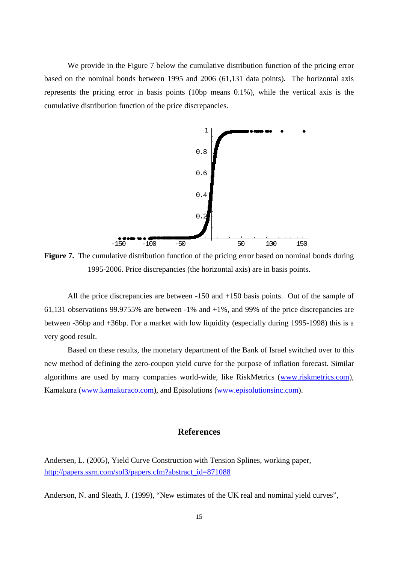We provide in the Figure 7 below the cumulative distribution function of the pricing error based on the nominal bonds between 1995 and 2006 (61,131 data points). The horizontal axis represents the pricing error in basis points (10bp means 0.1%), while the vertical axis is the cumulative distribution function of the price discrepancies.



**Figure 7.** The cumulative distribution function of the pricing error based on nominal bonds during 1995-2006. Price discrepancies (the horizontal axis) are in basis points.

All the price discrepancies are between -150 and +150 basis points. Out of the sample of 61,131 observations 99.9755% are between  $-1\%$  and  $+1\%$ , and 99% of the price discrepancies are between -36bp and +36bp. For a market with low liquidity (especially during 1995-1998) this is a very good result.

Based on these results, the monetary department of the Bank of Israel switched over to this new method of defining the zero-coupon yield curve for the purpose of inflation forecast. Similar algorithms are used by many companies world-wide, like RiskMetrics (www.riskmetrics.com), Kamakura (www.kamakuraco.com), and Episolutions (www.episolutionsinc.com).

#### **References**

Andersen, L. (2005), Yield Curve Construction with Tension Splines, working paper, http://papers.ssrn.com/sol3/papers.cfm?abstract\_id=871088

Anderson, N. and Sleath, J. (1999), "New estimates of the UK real and nominal yield curves",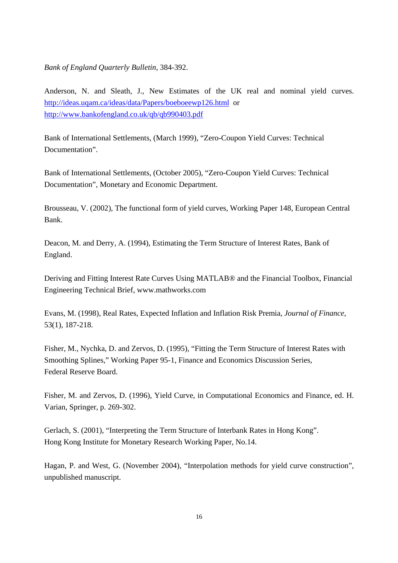*Bank of England Quarterly Bulletin*, 384-392.

Anderson, N. and Sleath, J., New Estimates of the UK real and nominal yield curves. http://ideas.uqam.ca/ideas/data/Papers/boeboeewp126.html or http://www.bankofengland.co.uk/qb/qb990403.pdf

Bank of International Settlements, (March 1999), "Zero-Coupon Yield Curves: Technical Documentation".

Bank of International Settlements, (October 2005), "Zero-Coupon Yield Curves: Technical Documentation", Monetary and Economic Department.

Brousseau, V. (2002), The functional form of yield curves, Working Paper 148, European Central Bank.

Deacon, M. and Derry, A. (1994), Estimating the Term Structure of Interest Rates, Bank of England.

Deriving and Fitting Interest Rate Curves Using MATLAB® and the Financial Toolbox, Financial Engineering Technical Brief, www.mathworks.com

Evans, M. (1998), Real Rates, Expected Inflation and Inflation Risk Premia, *Journal of Finance*, 53(1), 187-218.

Fisher, M., Nychka, D. and Zervos, D. (1995), "Fitting the Term Structure of Interest Rates with Smoothing Splines," Working Paper 95-1, Finance and Economics Discussion Series, Federal Reserve Board.

Fisher, M. and Zervos, D. (1996), Yield Curve, in Computational Economics and Finance, ed. H. Varian, Springer, p. 269-302.

Gerlach, S. (2001), "Interpreting the Term Structure of Interbank Rates in Hong Kong". Hong Kong Institute for Monetary Research Working Paper, No.14.

Hagan, P. and West, G. (November 2004), "Interpolation methods for yield curve construction", unpublished manuscript.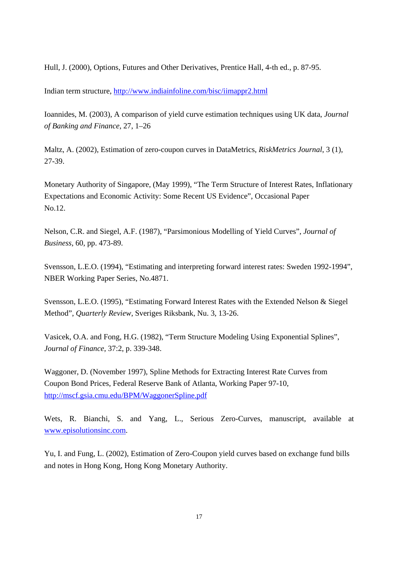Hull, J. (2000), Options, Futures and Other Derivatives, Prentice Hall, 4-th ed., p. 87-95.

Indian term structure, http://www.indiainfoline.com/bisc/iimappr2.html

Ioannides, M. (2003), A comparison of yield curve estimation techniques using UK data, *Journal of Banking and Finance*, 27, 1–26

Maltz, A. (2002), Estimation of zero-coupon curves in DataMetrics, *RiskMetrics Journal*, 3 (1), 27-39.

Monetary Authority of Singapore, (May 1999), "The Term Structure of Interest Rates, Inflationary Expectations and Economic Activity: Some Recent US Evidence", Occasional Paper No.12.

Nelson, C.R. and Siegel, A.F. (1987), "Parsimonious Modelling of Yield Curves", *Journal of Business*, 60, pp. 473-89.

Svensson, L.E.O. (1994), "Estimating and interpreting forward interest rates: Sweden 1992-1994", NBER Working Paper Series, No.4871.

Svensson, L.E.O. (1995), "Estimating Forward Interest Rates with the Extended Nelson & Siegel Method", *Quarterly Review*, Sveriges Riksbank, Nu. 3, 13-26.

Vasicek, O.A. and Fong, H.G. (1982), "Term Structure Modeling Using Exponential Splines", *Journal of Finance*, 37:2, p. 339-348.

Waggoner, D. (November 1997), Spline Methods for Extracting Interest Rate Curves from Coupon Bond Prices, Federal Reserve Bank of Atlanta, Working Paper 97-10, http://mscf.gsia.cmu.edu/BPM/WaggonerSpline.pdf

Wets, R. Bianchi, S. and Yang, L., Serious Zero-Curves, manuscript, available at www.episolutionsinc.com.

Yu, I. and Fung, L. (2002), Estimation of Zero-Coupon yield curves based on exchange fund bills and notes in Hong Kong, Hong Kong Monetary Authority.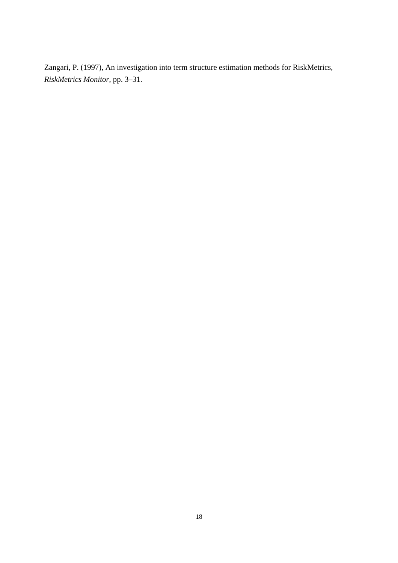Zangari, P. (1997), An investigation into term structure estimation methods for RiskMetrics, *RiskMetrics Monitor*, pp. 3–31.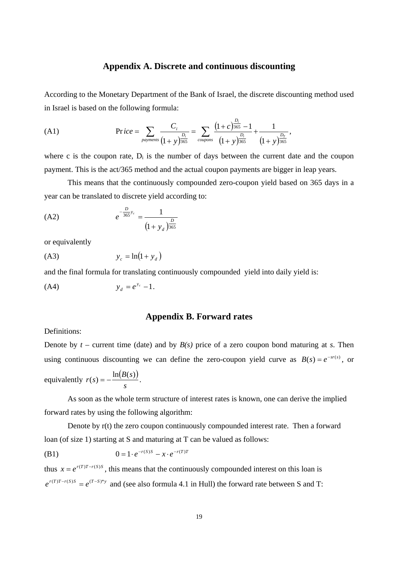#### **Appendix A. Discrete and continuous discounting**

According to the Monetary Department of the Bank of Israel, the discrete discounting method used in Israel is based on the following formula:

(A1) 
$$
\text{Pr} \text{ } ice = \sum_{\text{parameters}} \frac{C_i}{(1+y)^{\frac{D_i}{365}}} = \sum_{\text{components}} \frac{(1+c)^{\frac{D_i}{365}} - 1}{(1+y)^{\frac{D_i}{365}}} + \frac{1}{(1+y)^{\frac{D_T}{365}}},
$$

where c is the coupon rate,  $D_i$  is the number of days between the current date and the coupon payment. This is the act/365 method and the actual coupon payments are bigger in leap years.

This means that the continuously compounded zero-coupon yield based on 365 days in a year can be translated to discrete yield according to:

(A2) 
$$
e^{-\frac{D}{365}y_c} = \frac{1}{(1+y_d)^{\frac{D}{365}}}
$$

or equivalently

$$
y_c = \ln(1 + y_d)
$$

and the final formula for translating continuously compounded yield into daily yield is:

$$
y_d = e^{y_c} - 1.
$$

#### **Appendix B. Forward rates**

Definitions:

Denote by  $t$  – current time (date) and by  $B(s)$  price of a zero coupon bond maturing at *s*. Then using continuous discounting we can define the zero-coupon yield curve as  $B(s) = e^{-sr(s)}$ , or equivalently  $r(s) = -\frac{\ln(B(s))}{\ln(s)}$ *s*  $r(s) = -\frac{\ln(B(s))}{s}.$ 

As soon as the whole term structure of interest rates is known, one can derive the implied forward rates by using the following algorithm:

 Denote by r(t) the zero coupon continuously compounded interest rate. Then a forward loan (of size 1) starting at S and maturing at T can be valued as follows:

(B1) 
$$
0 = 1 \cdot e^{-r(S)S} - x \cdot e^{-r(T)T}
$$

thus  $x = e^{r(T)T - r(S)S}$ , this means that the continuously compounded interest on this loan is  $e^{r(T)T-r(S)S} = e^{(T-S)*y}$  and (see also formula 4.1 in Hull) the forward rate between S and T: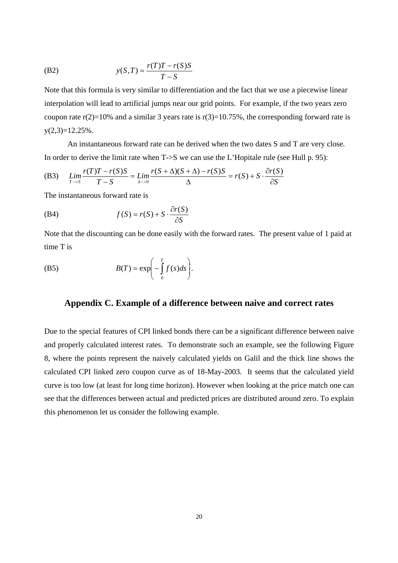(B2) 
$$
y(S,T) = \frac{r(T)T - r(S)S}{T - S}
$$

Note that this formula is very similar to differentiation and the fact that we use a piecewise linear interpolation will lead to artificial jumps near our grid points. For example, if the two years zero coupon rate  $r(2)=10\%$  and a similar 3 years rate is  $r(3)=10.75\%$ , the corresponding forward rate is  $y(2,3)=12.25\%$ .

An instantaneous forward rate can be derived when the two dates S and T are very close. In order to derive the limit rate when  $T\rightarrow S$  we can use the L'Hopitale rule (see Hull p. 95):

(B3) 
$$
\lim_{T \to S} \frac{r(T)T - r(S)S}{T - S} = \lim_{\Delta \to 0} \frac{r(S + \Delta)(S + \Delta) - r(S)S}{\Delta} = r(S) + S \cdot \frac{\partial r(S)}{\partial S}
$$

The instantaneous forward rate is

(B4) 
$$
f(S) = r(S) + S \cdot \frac{\partial r(S)}{\partial S}
$$

Note that the discounting can be done easily with the forward rates. The present value of 1 paid at time T is

(B5) 
$$
B(T) = \exp\left(-\int_{0}^{T} f(s)ds\right).
$$

#### **Appendix C. Example of a difference between naive and correct rates**

Due to the special features of CPI linked bonds there can be a significant difference between naive and properly calculated interest rates. To demonstrate such an example, see the following Figure 8, where the points represent the naively calculated yields on Galil and the thick line shows the calculated CPI linked zero coupon curve as of 18-May-2003. It seems that the calculated yield curve is too low (at least for long time horizon). However when looking at the price match one can see that the differences between actual and predicted prices are distributed around zero. To explain this phenomenon let us consider the following example.